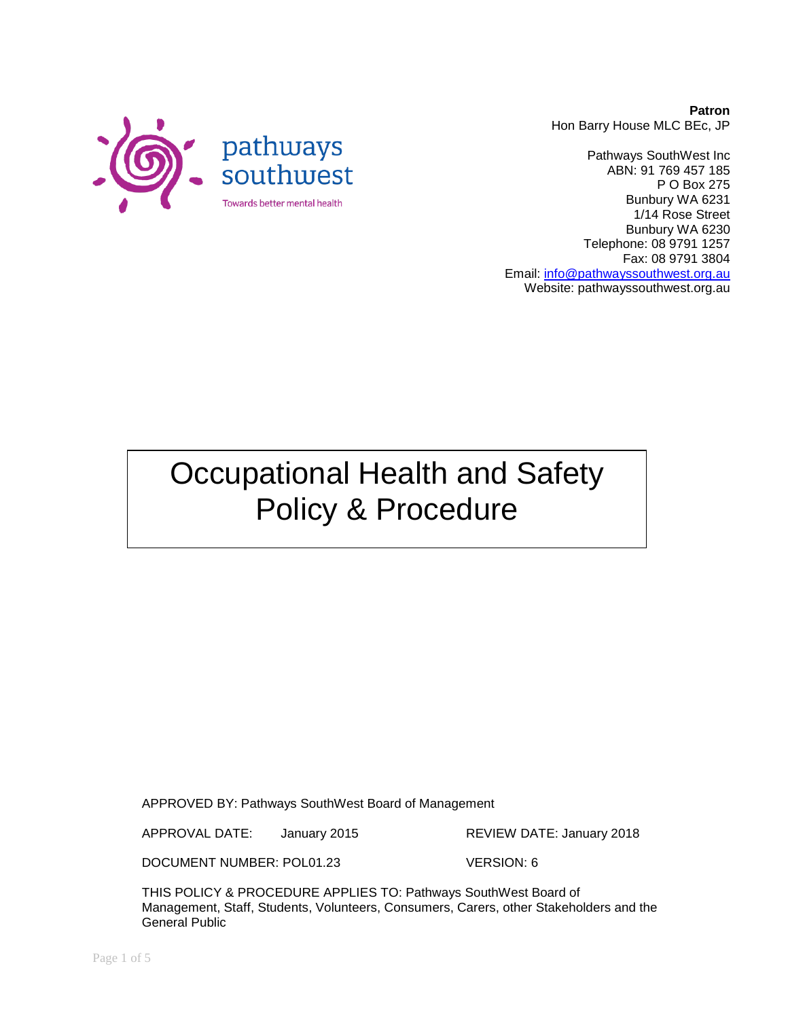**Patron** Hon Barry House MLC BEc, JP

Pathways SouthWest Inc ABN: 91 769 457 185 P O Box 275 Bunbury WA 6231 1/14 Rose Street Bunbury WA 6230 Telephone: 08 9791 1257 Fax: 08 9791 3804 Email: [info@pathwayssouthwest.org.au](mailto:info@pathwayssouthwest.org.au) Website: pathwayssouthwest.org.au

Occupational Health and Safety Policy & Procedure

APPROVED BY: Pathways SouthWest Board of Management

APPROVAL DATE: January 2015 REVIEW DATE: January 2018

DOCUMENT NUMBER: POL01.23 VERSION: 6

THIS POLICY & PROCEDURE APPLIES TO: Pathways SouthWest Board of Management, Staff, Students, Volunteers, Consumers, Carers, other Stakeholders and the General Public

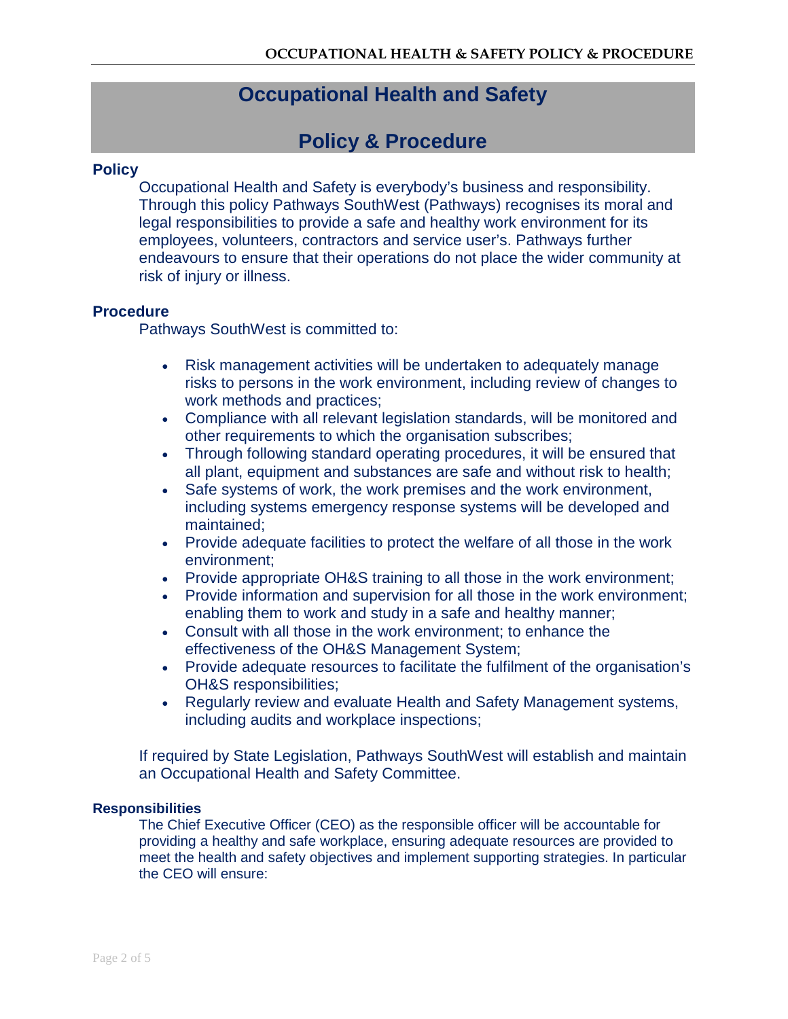# **Occupational Health and Safety**

## **Policy & Procedure**

#### **Policy**

Occupational Health and Safety is everybody's business and responsibility. Through this policy Pathways SouthWest (Pathways) recognises its moral and legal responsibilities to provide a safe and healthy work environment for its employees, volunteers, contractors and service user's. Pathways further endeavours to ensure that their operations do not place the wider community at risk of injury or illness.

### **Procedure**

Pathways SouthWest is committed to:

- Risk management activities will be undertaken to adequately manage risks to persons in the work environment, including review of changes to work methods and practices;
- Compliance with all relevant legislation standards, will be monitored and other requirements to which the organisation subscribes;
- Through following standard operating procedures, it will be ensured that all plant, equipment and substances are safe and without risk to health;
- Safe systems of work, the work premises and the work environment, including systems emergency response systems will be developed and maintained;
- Provide adequate facilities to protect the welfare of all those in the work environment;
- Provide appropriate OH&S training to all those in the work environment;
- Provide information and supervision for all those in the work environment; enabling them to work and study in a safe and healthy manner;
- Consult with all those in the work environment; to enhance the effectiveness of the OH&S Management System;
- Provide adequate resources to facilitate the fulfilment of the organisation's OH&S responsibilities;
- Regularly review and evaluate Health and Safety Management systems, including audits and workplace inspections;

If required by State Legislation, Pathways SouthWest will establish and maintain an Occupational Health and Safety Committee.

#### **Responsibilities**

The Chief Executive Officer (CEO) as the responsible officer will be accountable for providing a healthy and safe workplace, ensuring adequate resources are provided to meet the health and safety objectives and implement supporting strategies. In particular the CEO will ensure: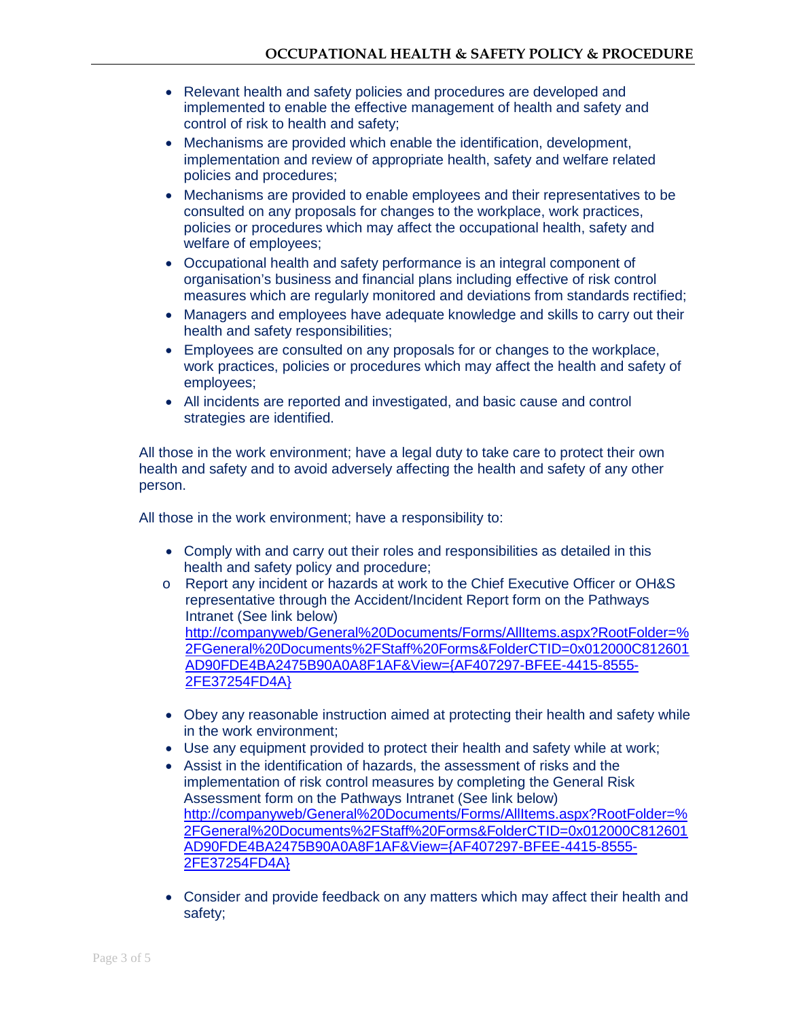- Relevant health and safety policies and procedures are developed and implemented to enable the effective management of health and safety and control of risk to health and safety;
- Mechanisms are provided which enable the identification, development, implementation and review of appropriate health, safety and welfare related policies and procedures;
- Mechanisms are provided to enable employees and their representatives to be consulted on any proposals for changes to the workplace, work practices, policies or procedures which may affect the occupational health, safety and welfare of employees;
- Occupational health and safety performance is an integral component of organisation's business and financial plans including effective of risk control measures which are regularly monitored and deviations from standards rectified;
- Managers and employees have adequate knowledge and skills to carry out their health and safety responsibilities;
- Employees are consulted on any proposals for or changes to the workplace, work practices, policies or procedures which may affect the health and safety of employees;
- All incidents are reported and investigated, and basic cause and control strategies are identified.

All those in the work environment; have a legal duty to take care to protect their own health and safety and to avoid adversely affecting the health and safety of any other person.

All those in the work environment; have a responsibility to:

- Comply with and carry out their roles and responsibilities as detailed in this health and safety policy and procedure;
- o Report any incident or hazards at work to the Chief Executive Officer or OH&S representative through the Accident/Incident Report form on the Pathways Intranet (See link below) [http://companyweb/General%20Documents/Forms/AllItems.aspx?RootFolder=%](http://companyweb/General%20Documents/Forms/AllItems.aspx?RootFolder=%2FGeneral%20Documents%2FStaff%20Forms&FolderCTID=0x012000C812601AD90FDE4BA2475B90A0A8F1AF&View=%7bAF407297-BFEE-4415-8555-2FE37254FD4A%7d) [2FGeneral%20Documents%2FStaff%20Forms&FolderCTID=0x012000C812601](http://companyweb/General%20Documents/Forms/AllItems.aspx?RootFolder=%2FGeneral%20Documents%2FStaff%20Forms&FolderCTID=0x012000C812601AD90FDE4BA2475B90A0A8F1AF&View=%7bAF407297-BFEE-4415-8555-2FE37254FD4A%7d) [AD90FDE4BA2475B90A0A8F1AF&View={AF407297-BFEE-4415-8555-](http://companyweb/General%20Documents/Forms/AllItems.aspx?RootFolder=%2FGeneral%20Documents%2FStaff%20Forms&FolderCTID=0x012000C812601AD90FDE4BA2475B90A0A8F1AF&View=%7bAF407297-BFEE-4415-8555-2FE37254FD4A%7d) [2FE37254FD4A}](http://companyweb/General%20Documents/Forms/AllItems.aspx?RootFolder=%2FGeneral%20Documents%2FStaff%20Forms&FolderCTID=0x012000C812601AD90FDE4BA2475B90A0A8F1AF&View=%7bAF407297-BFEE-4415-8555-2FE37254FD4A%7d)
- Obey any reasonable instruction aimed at protecting their health and safety while in the work environment;
- Use any equipment provided to protect their health and safety while at work;
- Assist in the identification of hazards, the assessment of risks and the implementation of risk control measures by completing the General Risk Assessment form on the Pathways Intranet (See link below) [http://companyweb/General%20Documents/Forms/AllItems.aspx?RootFolder=%](http://companyweb/General%20Documents/Forms/AllItems.aspx?RootFolder=%2FGeneral%20Documents%2FStaff%20Forms&FolderCTID=0x012000C812601AD90FDE4BA2475B90A0A8F1AF&View=%7bAF407297-BFEE-4415-8555-2FE37254FD4A%7d) [2FGeneral%20Documents%2FStaff%20Forms&FolderCTID=0x012000C812601](http://companyweb/General%20Documents/Forms/AllItems.aspx?RootFolder=%2FGeneral%20Documents%2FStaff%20Forms&FolderCTID=0x012000C812601AD90FDE4BA2475B90A0A8F1AF&View=%7bAF407297-BFEE-4415-8555-2FE37254FD4A%7d) [AD90FDE4BA2475B90A0A8F1AF&View={AF407297-BFEE-4415-8555-](http://companyweb/General%20Documents/Forms/AllItems.aspx?RootFolder=%2FGeneral%20Documents%2FStaff%20Forms&FolderCTID=0x012000C812601AD90FDE4BA2475B90A0A8F1AF&View=%7bAF407297-BFEE-4415-8555-2FE37254FD4A%7d) [2FE37254FD4A}](http://companyweb/General%20Documents/Forms/AllItems.aspx?RootFolder=%2FGeneral%20Documents%2FStaff%20Forms&FolderCTID=0x012000C812601AD90FDE4BA2475B90A0A8F1AF&View=%7bAF407297-BFEE-4415-8555-2FE37254FD4A%7d)
- Consider and provide feedback on any matters which may affect their health and safety;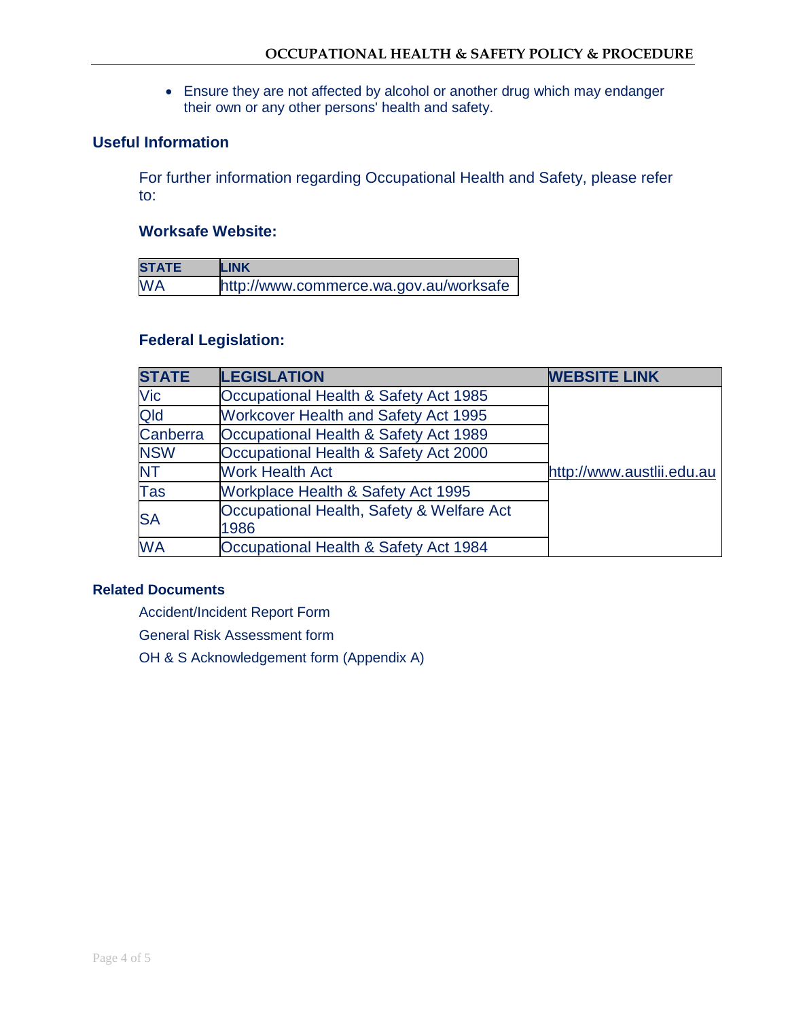• Ensure they are not affected by alcohol or another drug which may endanger their own or any other persons' health and safety.

### **Useful Information**

For further information regarding Occupational Health and Safety, please refer to:

### **Worksafe Website:**

| <b>STATE</b> | <b>LINK</b>                            |
|--------------|----------------------------------------|
| <b>WA</b>    | http://www.commerce.wa.gov.au/worksafe |

#### **Federal Legislation:**

| <b>STATE</b> | <b>LEGISLATION</b>                                | <b>WEBSITE LINK</b>       |
|--------------|---------------------------------------------------|---------------------------|
| Vic          | Occupational Health & Safety Act 1985             |                           |
| Qld          | <b>Workcover Health and Safety Act 1995</b>       |                           |
| Canberra     | Occupational Health & Safety Act 1989             |                           |
| <b>NSW</b>   | Occupational Health & Safety Act 2000             |                           |
| <b>NT</b>    | <b>Work Health Act</b>                            | http://www.austlii.edu.au |
| <b>Tas</b>   | Workplace Health & Safety Act 1995                |                           |
| <b>SA</b>    | Occupational Health, Safety & Welfare Act<br>1986 |                           |
| <b>WA</b>    | Occupational Health & Safety Act 1984             |                           |

#### **Related Documents**

Accident/Incident Report Form

General Risk Assessment form

OH & S Acknowledgement form (Appendix A)